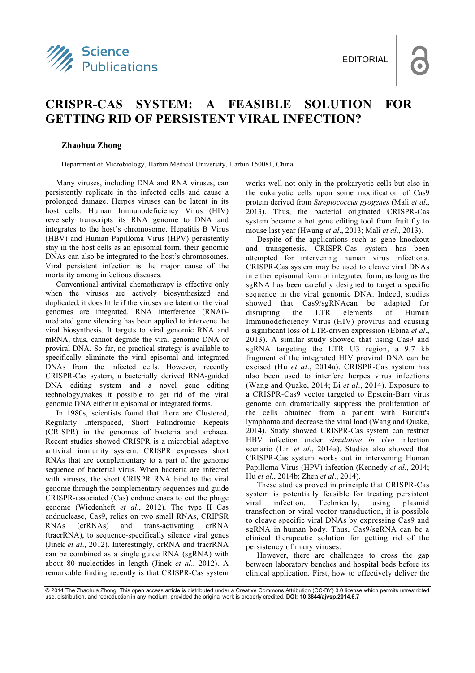

## **CRISPR-CAS SYSTEM: A FEASIBLE SOLUTION FOR GETTING RID OF PERSISTENT VIRAL INFECTION?**

## **Zhaohua Zhong**

Department of Microbiology, Harbin Medical University, Harbin 150081, China

Many viruses, including DNA and RNA viruses, can persistently replicate in the infected cells and cause a prolonged damage. Herpes viruses can be latent in its host cells. Human Immunodeficiency Virus (HIV) reversely transcripts its RNA genome to DNA and integrates to the host's chromosome. Hepatitis B Virus (HBV) and Human Papilloma Virus (HPV) persistently stay in the host cells as an episomal form, their genomic DNAs can also be integrated to the host's chromosomes. Viral persistent infection is the major cause of the mortality among infectious diseases.

Conventional antiviral chemotherapy is effective only when the viruses are actively biosynthesized and duplicated, it does little if the viruses are latent or the viral genomes are integrated. RNA interference (RNAi) mediated gene silencing has been applied to intervene the viral biosynthesis. It targets to viral genomic RNA and mRNA, thus, cannot degrade the viral genomic DNA or proviral DNA. So far, no practical strategy is available to specifically eliminate the viral episomal and integrated DNAs from the infected cells. However, recently CRISPR-Cas system, a bacterially derived RNA-guided DNA editing system and a novel gene editing technology,makes it possible to get rid of the viral genomic DNA either in episomal or integrated forms.

In 1980s, scientists found that there are Clustered, Regularly Interspaced, Short Palindromic Repeats (CRISPR) in the genomes of bacteria and archaea. Recent studies showed CRISPR is a microbial adaptive antiviral immunity system. CRISPR expresses short RNAs that are complementary to a part of the genome sequence of bacterial virus. When bacteria are infected with viruses, the short CRISPR RNA bind to the viral genome through the complementary sequences and guide CRISPR-associated (Cas) endnucleases to cut the phage genome (Wiedenheft *et al*., 2012). The type II Cas endnuclease, Cas9, relies on two small RNAs, CRIPSR RNAs (crRNAs) and trans-activating crRNA (tracrRNA), to sequence-specifically silence viral genes (Jinek *et al*., 2012). Interestingly, crRNA and tracrRNA can be combined as a single guide RNA (sgRNA) with about 80 nucleotides in length (Jinek *et al*., 2012). A remarkable finding recently is that CRISPR-Cas system

works well not only in the prokaryotic cells but also in the eukaryotic cells upon some modification of Cas9 protein derived from *Streptococcus pyogenes* (Mali *et al*., 2013). Thus, the bacterial originated CRISPR-Cas system became a hot gene editing tool from fruit fly to mouse last year (Hwang *et al*., 2013; Mali *et al*., 2013).

Despite of the applications such as gene knockout and transgenesis, CRISPR-Cas system has been attempted for intervening human virus infections. CRISPR-Cas system may be used to cleave viral DNAs in either episomal form or integrated form, as long as the sgRNA has been carefully designed to target a specific sequence in the viral genomic DNA. Indeed, studies showed that Cas9/sgRNAcan be adapted for disrupting the LTR elements of Human Immunodeficiency Virus (HIV) provirus and causing a significant loss of LTR-driven expression (Ebina *et al*., 2013). A similar study showed that using Cas9 and sgRNA targeting the LTR U3 region, a 9.7 kb fragment of the integrated HIV proviral DNA can be excised (Hu *et al*., 2014a). CRISPR-Cas system has also been used to interfere herpes virus infections (Wang and Quake, 2014; Bi *et al*., 2014). Exposure to a CRISPR-Cas9 vector targeted to Epstein-Barr virus genome can dramatically suppress the proliferation of the cells obtained from a patient with Burkitt's lymphoma and decrease the viral load (Wang and Quake, 2014). Study showed CRISPR-Cas system can restrict HBV infection under *simulative in vivo* infection scenario (Lin *et al*., 2014a). Studies also showed that CRISPR-Cas system works out in intervening Human Papilloma Virus (HPV) infection (Kennedy *et al*., 2014; Hu *et al*., 2014b; Zhen *et al*., 2014).

These studies proved in principle that CRISPR-Cas system is potentially feasible for treating persistent viral infection. Technically, using plasmid transfection or viral vector transduction, it is possible to cleave specific viral DNAs by expressing Cas9 and sgRNA in human body. Thus, Cas9/sgRNA can be a clinical therapeutic solution for getting rid of the persistency of many viruses.

However, there are challenges to cross the gap between laboratory benches and hospital beds before its clinical application. First, how to effectively deliver the

<sup>© 2014</sup> The Zhaohua Zhong. This open access article is distributed under a Creative Commons Attribution (CC-BY) 3.0 license which permits unrestricted use, distribution, and reproduction in any medium, provided the original work is properly credited. **DOI: 10.3844/ajvsp.2014.6.7**